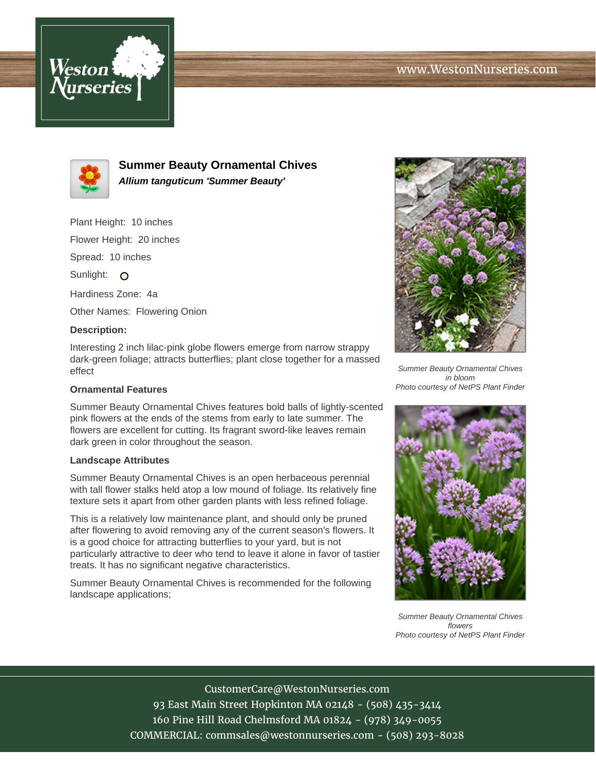



**Summer Beauty Ornamental Chives Allium tanguticum 'Summer Beauty'**

Plant Height: 10 inches

Flower Height: 20 inches

Spread: 10 inches

Sunlight: O

Hardiness Zone: 4a

Other Names: Flowering Onion

## **Description:**

Interesting 2 inch lilac-pink globe flowers emerge from narrow strappy dark-green foliage; attracts butterflies; plant close together for a massed effect

## **Ornamental Features**

Summer Beauty Ornamental Chives features bold balls of lightly-scented pink flowers at the ends of the stems from early to late summer. The flowers are excellent for cutting. Its fragrant sword-like leaves remain dark green in color throughout the season.

## **Landscape Attributes**

Summer Beauty Ornamental Chives is an open herbaceous perennial with tall flower stalks held atop a low mound of foliage. Its relatively fine texture sets it apart from other garden plants with less refined foliage.

This is a relatively low maintenance plant, and should only be pruned after flowering to avoid removing any of the current season's flowers. It is a good choice for attracting butterflies to your yard, but is not particularly attractive to deer who tend to leave it alone in favor of tastier treats. It has no significant negative characteristics.

Summer Beauty Ornamental Chives is recommended for the following landscape applications;



Summer Beauty Ornamental Chives in bloom Photo courtesy of NetPS Plant Finder



Summer Beauty Ornamental Chives flowers Photo courtesy of NetPS Plant Finder

CustomerCare@WestonNurseries.com 93 East Main Street Hopkinton MA 02148 - (508) 435-3414 160 Pine Hill Road Chelmsford MA 01824 - (978) 349-0055 COMMERCIAL: commsales@westonnurseries.com - (508) 293-8028